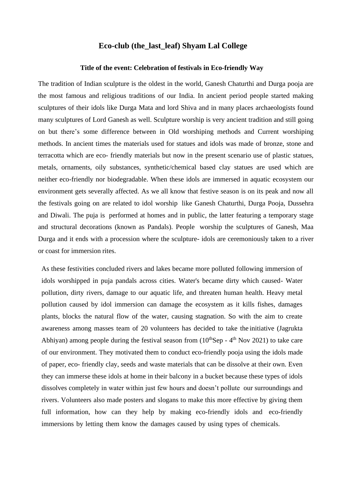## **Eco-club (the\_last\_leaf) Shyam Lal College**

## **Title of the event: Celebration of festivals in Eco-friendly Way**

The tradition of Indian sculpture is the oldest in the world, Ganesh Chaturthi and Durga pooja are the most famous and religious traditions of our India. In ancient period people started making sculptures of their idols like Durga Mata and lord Shiva and in many places archaeologists found many sculptures of Lord Ganesh as well. Sculpture worship is very ancient tradition and still going on but there's some difference between in Old worshiping methods and Current worshiping methods. In ancient times the materials used for statues and idols was made of bronze, stone and terracotta which are eco- friendly materials but now in the present scenario use of plastic statues, metals, ornaments, oily substances, synthetic/chemical based clay statues are used which are neither eco-friendly nor biodegradable. When these idols are immersed in aquatic ecosystem our environment gets severally affected. As we all know that festive season is on its peak and now all the festivals going on are related to idol worship like Ganesh Chaturthi, Durga Pooja, Dussehra and Diwali. The puja is performed at homes and in public, the latter featuring a temporary stage and structural decorations (known as Pandals). People worship the sculptures of Ganesh, Maa Durga and it ends with a procession where the sculpture- idols are ceremoniously taken to a river or coast for immersion rites.

As these festivities concluded rivers and lakes became more polluted following immersion of idols worshipped in puja pandals across cities. Water's became dirty which caused- Water pollution, dirty rivers, damage to our aquatic life, and threaten human health. Heavy metal pollution caused by idol immersion can damage the ecosystem as it kills fishes, damages plants, blocks the natural flow of the water, causing stagnation. So with the aim to create awareness among masses team of 20 volunteers has decided to take the initiative (Jagrukta Abhiyan) among people during the festival season from  $(10<sup>th</sup>$ Sep -  $4<sup>th</sup>$  Nov 2021) to take care of our environment. They motivated them to conduct eco-friendly pooja using the idols made of paper, eco- friendly clay, seeds and waste materials that can be dissolve at their own. Even they can immerse these idols at home in their balcony in a bucket because these types of idols dissolves completely in water within just few hours and doesn't pollute our surroundings and rivers. Volunteers also made posters and slogans to make this more effective by giving them full information, how can they help by making eco-friendly idols and eco-friendly immersions by letting them know the damages caused by using types of chemicals.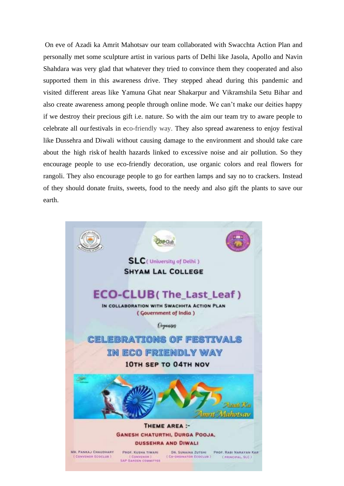On eve of Azadi ka Amrit Mahotsav our team collaborated with Swacchta Action Plan and personally met some sculpture artist in various parts of Delhi like Jasola, Apollo and Navin Shahdara was very glad that whatever they tried to convince them they cooperated and also supported them in this awareness drive. They stepped ahead during this pandemic and visited different areas like Yamuna Ghat near Shakarpur and Vikramshila Setu Bihar and also create awareness among people through online mode. We can't make our deities happy if we destroy their precious gift i.e. nature. So with the aim our team try to aware people to celebrate all ourfestivals in eco-friendly way. They also spread awareness to enjoy festival like Dussehra and Diwali without causing damage to the environment and should take care about the high risk of health hazards linked to excessive noise and air pollution. So they encourage people to use eco-friendly decoration, use organic colors and real flowers for rangoli. They also encourage people to go for earthen lamps and say no to crackers. Instead of they should donate fruits, sweets, food to the needy and also gift the plants to save our earth.

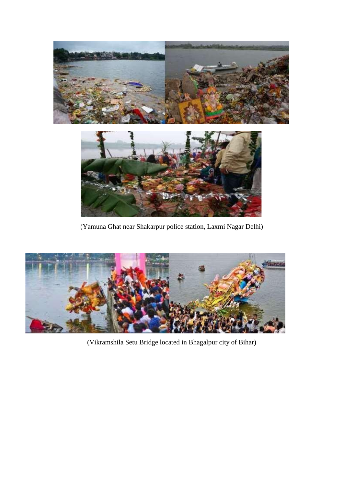

(Yamuna Ghat near Shakarpur police station, Laxmi Nagar Delhi)



(Vikramshila Setu Bridge located in Bhagalpur city of Bihar)